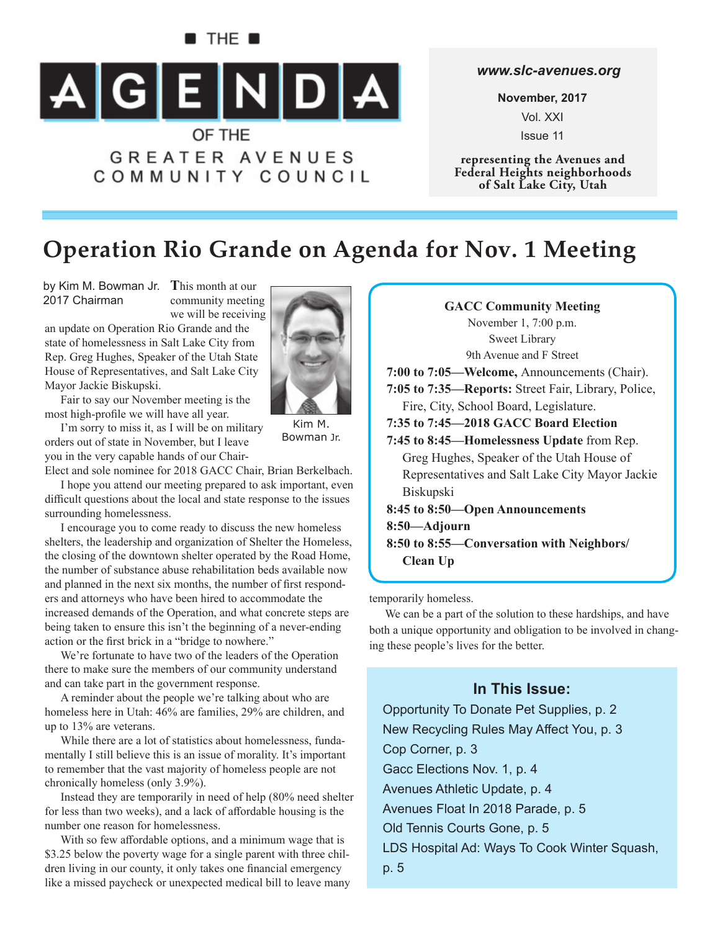# B THE 8  $\begin{array}{|c|c|c|c|c|}\n\hline\n\text{A} & \text{G} & \text{E} & \text{N} & \text{D} & \text{A}\n\end{array}$ OF THE **GREATER AVENUES** COMMUNITY COUNCIL

*www.slc-avenues.org*

**November, 2017** Vol. XXI Issue 11

**representing the Avenues and Federal Heights neighborhoods of Salt Lake City, Utah**

# **Operation Rio Grande on Agenda for Nov. 1 Meeting**

by Kim M. Bowman Jr. This month at our 2017 Chairman

community meeting we will be receiving

an update on Operation Rio Grande and the state of homelessness in Salt Lake City from Rep. Greg Hughes, Speaker of the Utah State House of Representatives, and Salt Lake City Mayor Jackie Biskupski.

Fair to say our November meeting is the most high-profile we will have all year.

I'm sorry to miss it, as I will be on military orders out of state in November, but I leave you in the very capable hands of our Chair-

Elect and sole nominee for 2018 GACC Chair, Brian Berkelbach.

I hope you attend our meeting prepared to ask important, even difficult questions about the local and state response to the issues surrounding homelessness.

I encourage you to come ready to discuss the new homeless shelters, the leadership and organization of Shelter the Homeless, the closing of the downtown shelter operated by the Road Home, the number of substance abuse rehabilitation beds available now and planned in the next six months, the number of first responders and attorneys who have been hired to accommodate the increased demands of the Operation, and what concrete steps are being taken to ensure this isn't the beginning of a never-ending action or the first brick in a "bridge to nowhere."

We're fortunate to have two of the leaders of the Operation there to make sure the members of our community understand and can take part in the government response.

A reminder about the people we're talking about who are homeless here in Utah: 46% are families, 29% are children, and up to 13% are veterans.

While there are a lot of statistics about homelessness, fundamentally I still believe this is an issue of morality. It's important to remember that the vast majority of homeless people are not chronically homeless (only 3.9%).

Instead they are temporarily in need of help (80% need shelter for less than two weeks), and a lack of affordable housing is the number one reason for homelessness.

With so few affordable options, and a minimum wage that is \$3.25 below the poverty wage for a single parent with three children living in our county, it only takes one financial emergency like a missed paycheck or unexpected medical bill to leave many



temporarily homeless.

We can be a part of the solution to these hardships, and have both a unique opportunity and obligation to be involved in changing these people's lives for the better.

### **In This Issue:**

Opportunity To Donate Pet Supplies, p. 2 New Recycling Rules May Affect You, p. 3 Cop Corner, p. 3 Gacc Elections Nov. 1, p. 4 Avenues Athletic Update, p. 4 Avenues Float In 2018 Parade, p. 5 Old Tennis Courts Gone, p. 5 LDS Hospital Ad: Ways To Cook Winter Squash, p. 5



Kim M. Bowman Jr.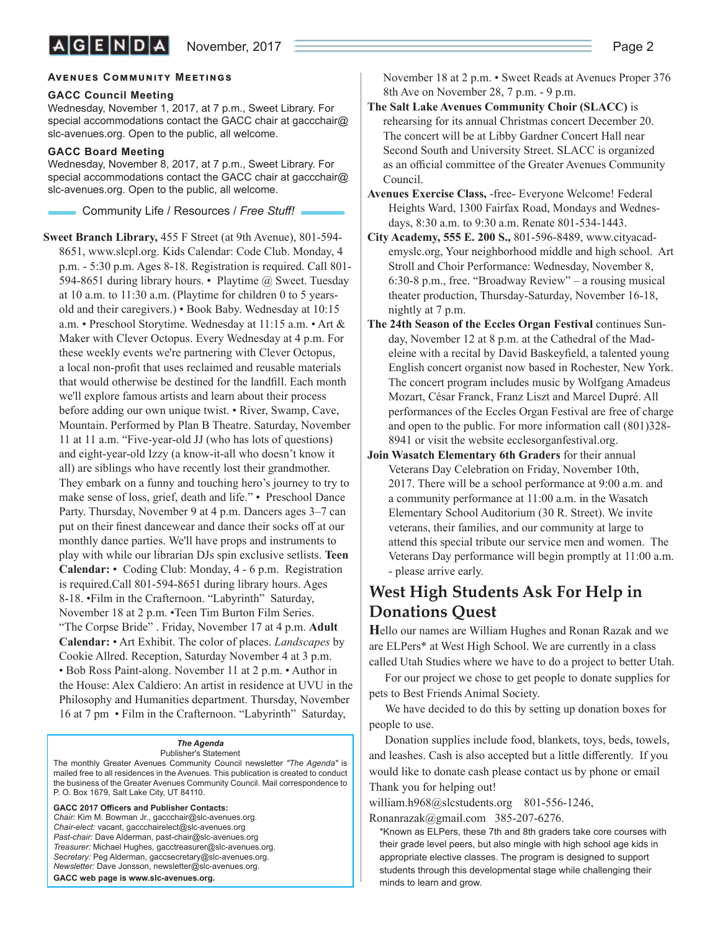#### **AVENUES COMMUNITY MEETINGS**

#### **GACC Council Meeting**

Wednesday, November 1, 2017, at 7 p.m., Sweet Library. For special accommodations contact the GACC chair at gaccchair@ slc-avenues.org. Open to the public, all welcome.

#### **GACC Board Meeting**

Wednesday, November 8, 2017, at 7 p.m., Sweet Library. For special accommodations contact the GACC chair at gaccchair $\omega$ slc-avenues.org. Open to the public, all welcome.

Community Life / Resources / *Free Stuff !*

**Sweet Branch Library,** 455 F Street (at 9th Avenue), 801-594- 8651, www.slcpl.org. Kids Calendar: Code Club. Monday, 4 p.m. - 5:30 p.m. Ages 8-18. Registration is required. Call 801- 594-8651 during library hours. • Playtime @ Sweet. Tuesday at 10 a.m. to 11:30 a.m. (Playtime for children 0 to 5 yearsold and their caregivers.) • Book Baby. Wednesday at 10:15 a.m. • Preschool Storytime. Wednesday at 11:15 a.m. • Art & Maker with Clever Octopus. Every Wednesday at 4 p.m. For these weekly events we're partnering with Clever Octopus, a local non-profit that uses reclaimed and reusable materials that would otherwise be destined for the landfill. Each month we'll explore famous artists and learn about their process before adding our own unique twist. • River, Swamp, Cave, Mountain. Performed by Plan B Theatre. Saturday, November 11 at 11 a.m. "Five-year-old JJ (who has lots of questions) and eight-year-old Izzy (a know-it-all who doesn't know it all) are siblings who have recently lost their grandmother. They embark on a funny and touching hero's journey to try to make sense of loss, grief, death and life." • Preschool Dance Party. Thursday, November 9 at 4 p.m. Dancers ages 3–7 can put on their finest dancewear and dance their socks off at our monthly dance parties. We'll have props and instruments to play with while our librarian DJs spin exclusive setlists. **Teen Calendar:** • Coding Club: Monday, 4 - 6 p.m. Registration is required.Call 801-594-8651 during library hours. Ages 8-18. •Film in the Crafternoon. "Labyrinth" Saturday, November 18 at 2 p.m. •Teen Tim Burton Film Series. "The Corpse Bride" . Friday, November 17 at 4 p.m. **Adult Calendar:** • Art Exhibit. The color of places. *Landscapes* by Cookie Allred. Reception, Saturday November 4 at 3 p.m. • Bob Ross Paint-along. November 11 at 2 p.m. • Author in the House: Alex Caldiero: An artist in residence at UVU in the Philosophy and Humanities department. Thursday, November 16 at 7 pm • Film in the Crafternoon. "Labyrinth" Saturday,

#### *The Agenda*

Publisher's Statement The monthly Greater Avenues Community Council newsletter *"The Agenda"* is mailed free to all residences in the Avenues. This publication is created to conduct the business of the Greater Avenues Community Council. Mail correspondence to P. O. Box 1679, Salt Lake City, UT 84110.

GACC 2017 Officers and Publisher Contacts: *Chair:* Kim M. Bowman Jr., gaccchair@slc-avenues.org. *Chair-elect:* vacant, gaccchairelect@slc-avenues.org *Past-chair:* Dave Alderman, past-chair@slc-avenues.org *Treasurer:* Michael Hughes, gacctreasurer@slc-avenues.org. *Secretary:* Peg Alderman, gaccsecretary@slc-avenues.org. *Newsletter:* Dave Jonsson, newsletter@slc-avenues.org. **GACC web page is www.slc-avenues.org.**

November 18 at 2 p.m. • Sweet Reads at Avenues Proper 376 8th Ave on November 28, 7 p.m. - 9 p.m.

- **The Salt Lake Avenues Community Choir (SLACC)** is rehearsing for its annual Christmas concert December 20. The concert will be at Libby Gardner Concert Hall near Second South and University Street. SLACC is organized as an official committee of the Greater Avenues Community Council.
- **Avenues Exercise Class,** -free- Everyone Welcome! Federal Heights Ward, 1300 Fairfax Road, Mondays and Wednesdays, 8:30 a.m. to 9:30 a.m. Renate 801-534-1443.
- **City Academy, 555 E. 200 S.,** 801-596-8489, www.cityacademyslc.org, Your neighborhood middle and high school. Art Stroll and Choir Performance: Wednesday, November 8, 6:30-8 p.m., free. "Broadway Review" – a rousing musical theater production, Thursday-Saturday, November 16-18, nightly at 7 p.m.
- **The 24th Season of the Eccles Organ Festival** continues Sunday, November 12 at 8 p.m. at the Cathedral of the Madeleine with a recital by David Baskeyfield, a talented young English concert organist now based in Rochester, New York. The concert program includes music by Wolfgang Amadeus Mozart, César Franck, Franz Liszt and Marcel Dupré. All performances of the Eccles Organ Festival are free of charge and open to the public. For more information call (801)328- 8941 or visit the website ecclesorganfestival.org.
- **Join Wasatch Elementary 6th Graders** for their annual Veterans Day Celebration on Friday, November 10th, 2017. There will be a school performance at 9:00 a.m. and a community performance at 11:00 a.m. in the Wasatch Elementary School Auditorium (30 R. Street). We invite veterans, their families, and our community at large to attend this special tribute our service men and women. The Veterans Day performance will begin promptly at 11:00 a.m. - please arrive early.

### **West High Students Ask For Help in Donations Quest**

**H**ello our names are William Hughes and Ronan Razak and we are ELPers\* at West High School. We are currently in a class called Utah Studies where we have to do a project to better Utah.

For our project we chose to get people to donate supplies for pets to Best Friends Animal Society.

We have decided to do this by setting up donation boxes for people to use.

Donation supplies include food, blankets, toys, beds, towels, and leashes. Cash is also accepted but a little differently. If you would like to donate cash please contact us by phone or email Thank you for helping out!

william.h968@slcstudents.org 801-556-1246, Ronanrazak@gmail.com 385-207-6276.

\*Known as ELPers, these 7th and 8th graders take core courses with their grade level peers, but also mingle with high school age kids in appropriate elective classes. The program is designed to support students through this developmental stage while challenging their minds to learn and grow.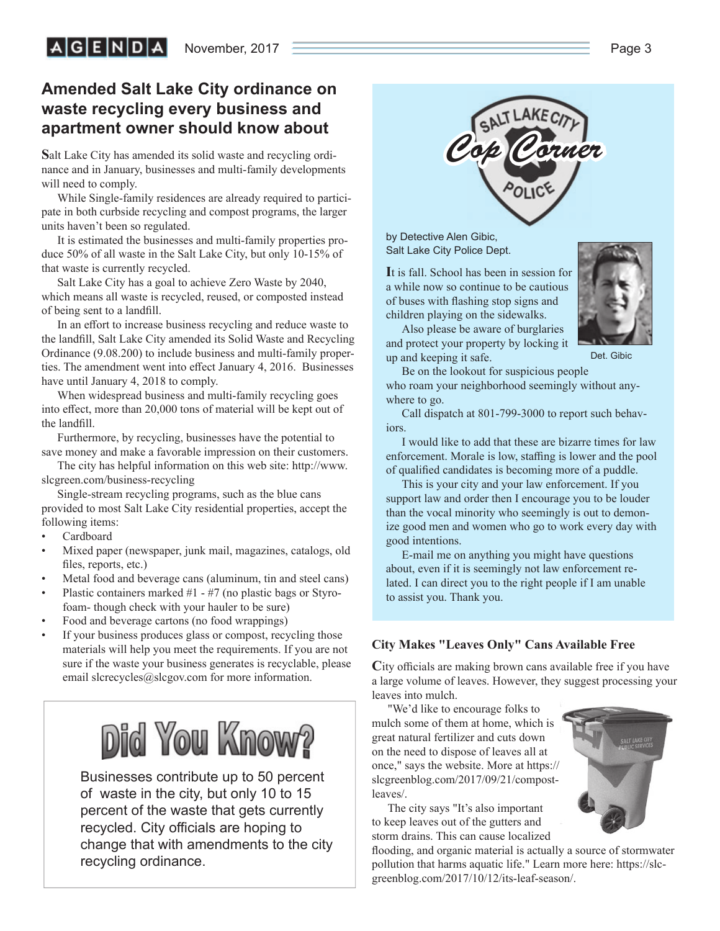### **Amended Salt Lake City ordinance on waste recycling every business and apartment owner should know about**

**S**alt Lake City has amended its solid waste and recycling ordinance and in January, businesses and multi-family developments will need to comply.

While Single-family residences are already required to participate in both curbside recycling and compost programs, the larger units haven't been so regulated.

It is estimated the businesses and multi-family properties produce 50% of all waste in the Salt Lake City, but only 10-15% of that waste is currently recycled.

Salt Lake City has a goal to achieve Zero Waste by 2040, which means all waste is recycled, reused, or composted instead of being sent to a landfill.

In an effort to increase business recycling and reduce waste to the landfill, Salt Lake City amended its Solid Waste and Recycling Ordinance (9.08.200) to include business and multi-family properties. The amendment went into effect January 4, 2016. Businesses have until January 4, 2018 to comply.

When widespread business and multi-family recycling goes into effect, more than 20,000 tons of material will be kept out of the landfill.

Furthermore, by recycling, businesses have the potential to save money and make a favorable impression on their customers.

The city has helpful information on this web site: http://www. slcgreen.com/business-recycling

Single-stream recycling programs, such as the blue cans provided to most Salt Lake City residential properties, accept the following items:

- Cardboard
- Mixed paper (newspaper, junk mail, magazines, catalogs, old files, reports, etc.)
- Metal food and beverage cans (aluminum, tin and steel cans)
- Plastic containers marked  $#1 #7$  (no plastic bags or Styrofoam- though check with your hauler to be sure)
- Food and beverage cartons (no food wrappings)
- If your business produces glass or compost, recycling those materials will help you meet the requirements. If you are not sure if the waste your business generates is recyclable, please email slcrecycles@slcgov.com for more information.

# **Did You Know?**

Businesses contribute up to 50 percent of waste in the city, but only 10 to 15 percent of the waste that gets currently recycled. City officials are hoping to change that with amendments to the city recycling ordinance.



by Detective Alen Gibic, Salt Lake City Police Dept.

**I**t is fall. School has been in session for a while now so continue to be cautious of buses with flashing stop signs and children playing on the sidewalks.

Also please be aware of burglaries and protect your property by locking it up and keeping it safe.

Det. Gibic

Be on the lookout for suspicious people

who roam your neighborhood seemingly without anywhere to go.

Call dispatch at 801-799-3000 to report such behaviors.

I would like to add that these are bizarre times for law enforcement. Morale is low, staffing is lower and the pool of qualified candidates is becoming more of a puddle.

This is your city and your law enforcement. If you support law and order then I encourage you to be louder than the vocal minority who seemingly is out to demonize good men and women who go to work every day with good intentions.

E-mail me on anything you might have questions about, even if it is seemingly not law enforcement related. I can direct you to the right people if I am unable to assist you. Thank you.

### **City Makes "Leaves Only" Cans Available Free**

City officials are making brown cans available free if you have a large volume of leaves. However, they suggest processing your leaves into mulch.

"We'd like to encourage folks to mulch some of them at home, which is great natural fertilizer and cuts down on the need to dispose of leaves all at once," says the website. More at https:// slcgreenblog.com/2017/09/21/compostleaves/.

The city says "It's also important to keep leaves out of the gutters and storm drains. This can cause localized

flooding, and organic material is actually a source of stormwater pollution that harms aquatic life." Learn more here: https://slcgreenblog.com/2017/10/12/its-leaf-season/.

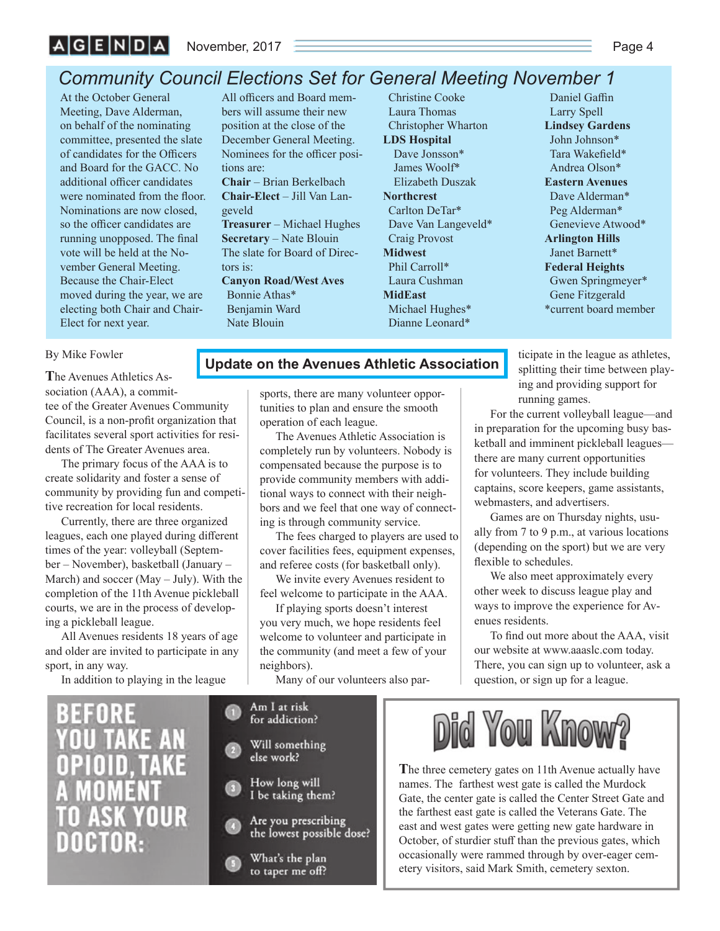### *Community Council Elections Set for General Meeting November 1*

At the October General Meeting, Dave Alderman, on behalf of the nominating committee, presented the slate of candidates for the Officers and Board for the GACC. No additional officer candidates were nominated from the floor. Nominations are now closed, so the officer candidates are running unopposed. The final vote will be held at the November General Meeting. Because the Chair-Elect moved during the year, we are electing both Chair and Chair-Elect for next year.

All officers and Board members will assume their new position at the close of the December General Meeting. Nominees for the officer positions are: **Chair** – Brian Berkelbach **Chair-Elect** – Jill Van Langeveld **Treasurer** – Michael Hughes **Secretary** – Nate Blouin The slate for Board of Directors is: **Canyon Road/West Aves**

Bonnie Athas\* Benjamin Ward Nate Blouin

Christine Cooke Laura Thomas Christopher Wharton **LDS Hospital** Dave Jonsson\* James Woolf\* Elizabeth Duszak **Northcrest** Carlton DeTar\* Dave Van Langeveld\* Craig Provost **Midwest** Phil Carroll\* Laura Cushman **MidEast** Michael Hughes\* Dianne Leonard\*

Daniel Gaffin Larry Spell **Lindsey Gardens** John Johnson\* Tara Wakefield\* Andrea Olson\* **Eastern Avenues** Dave Alderman\* Peg Alderman\* Genevieve Atwood\* **Arlington Hills** Janet Barnett\* **Federal Heights** Gwen Springmeyer\* Gene Fitzgerald \*current board member

#### By Mike Fowler

**T**he Avenues Athletics Association (AAA), a committee of the Greater Avenues Community Council, is a non-profit organization that facilitates several sport activities for residents of The Greater Avenues area.

The primary focus of the AAA is to create solidarity and foster a sense of community by providing fun and competitive recreation for local residents.

Currently, there are three organized leagues, each one played during different times of the year: volleyball (September – November), basketball (January – March) and soccer (May – July). With the completion of the 11th Avenue pickleball courts, we are in the process of developing a pickleball league.

All Avenues residents 18 years of age and older are invited to participate in any sport, in any way.

In addition to playing in the league

### **Update on the Avenues Athletic Association**

sports, there are many volunteer opportunities to plan and ensure the smooth operation of each league.

The Avenues Athletic Association is completely run by volunteers. Nobody is compensated because the purpose is to provide community members with additional ways to connect with their neighbors and we feel that one way of connecting is through community service.

The fees charged to players are used to cover facilities fees, equipment expenses, and referee costs (for basketball only).

We invite every Avenues resident to feel welcome to participate in the AAA.

If playing sports doesn't interest you very much, we hope residents feel welcome to volunteer and participate in the community (and meet a few of your neighbors).

Many of our volunteers also par-

ticipate in the league as athletes, splitting their time between playing and providing support for running games.

For the current volleyball league—and in preparation for the upcoming busy basketball and imminent pickleball leagues there are many current opportunities for volunteers. They include building captains, score keepers, game assistants, webmasters, and advertisers.

Games are on Thursday nights, usually from 7 to 9 p.m., at various locations (depending on the sport) but we are very flexible to schedules.

We also meet approximately every other week to discuss league play and ways to improve the experience for Avenues residents.

To find out more about the AAA, visit our website at www.aaaslc.com today. There, you can sign up to volunteer, ask a question, or sign up for a league.



to taper me off?



**T**he three cemetery gates on 11th Avenue actually have names. The farthest west gate is called the Murdock Gate, the center gate is called the Center Street Gate and the farthest east gate is called the Veterans Gate. The east and west gates were getting new gate hardware in October, of sturdier stuff than the previous gates, which occasionally were rammed through by over-eager cemetery visitors, said Mark Smith, cemetery sexton.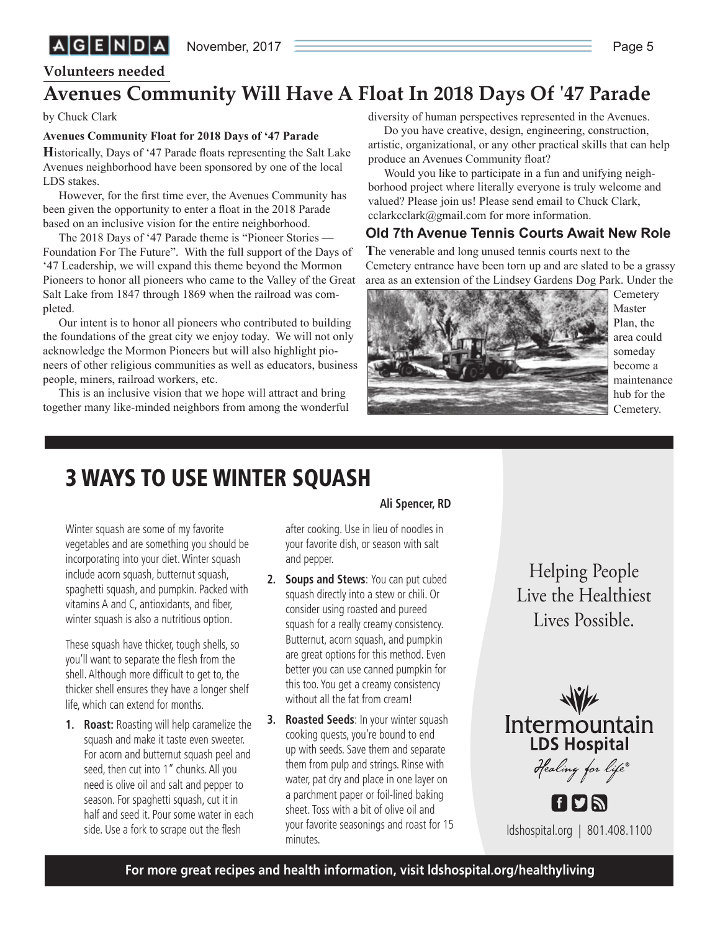### **Volunteers needed**

## **Avenues Community Will Have A Float In 2018 Days Of '47 Parade**

by Chuck Clark

### **Avenues Community Float for 2018 Days of '47 Parade**

**H**istorically, Days of '47 Parade floats representing the Salt Lake Avenues neighborhood have been sponsored by one of the local LDS stakes.

However, for the first time ever, the Avenues Community has been given the opportunity to enter a float in the 2018 Parade based on an inclusive vision for the entire neighborhood.

The 2018 Days of '47 Parade theme is "Pioneer Stories — Foundation For The Future". With the full support of the Days of '47 Leadership, we will expand this theme beyond the Mormon Pioneers to honor all pioneers who came to the Valley of the Great Salt Lake from 1847 through 1869 when the railroad was completed.

Our intent is to honor all pioneers who contributed to building the foundations of the great city we enjoy today. We will not only acknowledge the Mormon Pioneers but will also highlight pioneers of other religious communities as well as educators, business people, miners, railroad workers, etc.

This is an inclusive vision that we hope will attract and bring together many like-minded neighbors from among the wonderful diversity of human perspectives represented in the Avenues.

Do you have creative, design, engineering, construction, artistic, organizational, or any other practical skills that can help produce an Avenues Community float?

Would you like to participate in a fun and unifying neighborhood project where literally everyone is truly welcome and valued? Please join us! Please send email to Chuck Clark, cclarkcclark@gmail.com for more information.

### **Old 7th Avenue Tennis Courts Await New Role**

**T**he venerable and long unused tennis courts next to the Cemetery entrance have been torn up and are slated to be a grassy area as an extension of the Lindsey Gardens Dog Park. Under the



**Cemetery** Master Plan, the area could someday become a maintenance hub for the Cemetery.

# **3 WAYS TO USE WINTER SQUASH**

Winter squash are some of my favorite vegetables and are something you should be incorporating into your diet. Winter squash include acorn squash, butternut squash, spaghetti squash, and pumpkin. Packed with vitamins A and C, antioxidants, and fiber, winter squash is also a nutritious option.

These squash have thicker, tough shells, so you'll want to separate the flesh from the shell. Although more difficult to get to, the thicker shell ensures they have a longer shelf life, which can extend for months.

**1. Roast:** Roasting will help caramelize the squash and make it taste even sweeter. For acorn and butternut squash peel and seed, then cut into 1" chunks. All you need is olive oil and salt and pepper to season. For spaghetti squash, cut it in half and seed it. Pour some water in each side. Use a fork to scrape out the flesh

### **Ali Spencer, RD**

after cooking. Use in lieu of noodles in your favorite dish, or season with salt and pepper.

- **2. Soups and Stews**: You can put cubed squash directly into a stew or chili. Or consider using roasted and pureed squash for a really creamy consistency. Butternut, acorn squash, and pumpkin are great options for this method. Even better you can use canned pumpkin for this too. You get a creamy consistency without all the fat from cream!
- **3. Roasted Seeds**: In your winter squash cooking quests, you're bound to end up with seeds. Save them and separate them from pulp and strings. Rinse with water, pat dry and place in one layer on a parchment paper or foil-lined baking sheet. Toss with a bit of olive oil and your favorite seasonings and roast for 15 minutes.

Helping People<br>Live the Healthiest Live Decrible Lives Possible.



ldshospital.org | 801.408.1100